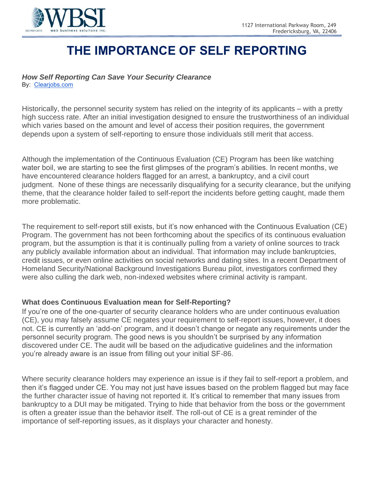

# **THE IMPORTANCE OF SELF REPORTING**

# *How Self Reporting Can Save Your Security Clearance*

By: [Clearjobs.com](http://clearjobs.com/)

Historically, the personnel security system has relied on the integrity of its applicants – with a pretty high success rate. After an initial investigation designed to ensure the trustworthiness of an individual which varies based on the amount and level of access their position requires, the government depends upon a system of self-reporting to ensure those individuals still merit that access.

Although the implementation of the Continuous Evaluation (CE) Program has been like watching water boil, we are starting to see the first glimpses of the program's abilities. In recent months, we have encountered clearance holders flagged for an arrest, a bankruptcy, and a civil court judgment. None of these things are necessarily disqualifying for a security clearance, but the unifying theme, that the clearance holder failed to self-report the incidents before getting caught, made them more problematic.

The requirement to self-report still exists, but it's now enhanced with the Continuous Evaluation (CE) Program. The government has not been forthcoming about the specifics of its continuous evaluation program, but the assumption is that it is continually pulling from a variety of online sources to track any publicly available information about an individual. That information may include bankruptcies, credit issues, or even online activities on social networks and dating sites. In a recent Department of Homeland Security/National Background Investigations Bureau pilot, investigators confirmed they were also culling the dark web, non-indexed websites where criminal activity is rampant.

# **What does Continuous Evaluation mean for Self-Reporting?**

If you're one of the one-quarter of security clearance holders who are under continuous evaluation (CE), you may falsely assume CE negates your requirement to self-report issues, however, it does not. CE is currently an 'add-on' program, and it doesn't change or negate any requirements under the personnel security program. The good news is you shouldn't be surprised by any information discovered under CE. The audit will be based on the adjudicative guidelines and the information you're already aware is an issue from filling out your initial SF-86.

Where security clearance holders may experience an issue is if they fail to self-report a problem, and then it's flagged under CE. You may not just have issues based on the problem flagged but may face the further character issue of having not reported it. It's critical to remember that many issues from bankruptcy to a DUI may be mitigated. Trying to hide that behavior from the boss or the government is often a greater issue than the behavior itself. The roll-out of CE is a great reminder of the importance of self-reporting issues, as it displays your character and honesty.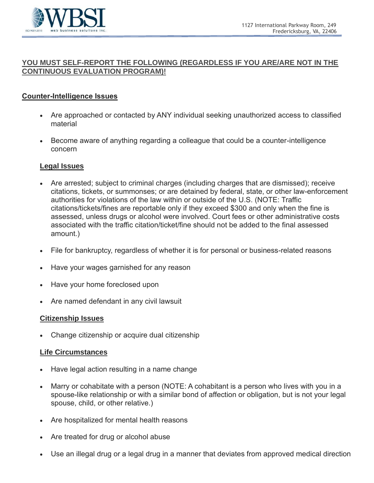

### **YOU MUST SELF-REPORT THE FOLLOWING (REGARDLESS IF YOU ARE/ARE NOT IN THE CONTINUOUS EVALUATION PROGRAM)!**

## **Counter-Intelligence Issues**

- Are approached or contacted by ANY individual seeking unauthorized access to classified material
- Become aware of anything regarding a colleague that could be a counter-intelligence concern

#### **Legal Issues**

- Are arrested; subject to criminal charges (including charges that are dismissed); receive citations, tickets, or summonses; or are detained by federal, state, or other law-enforcement authorities for violations of the law within or outside of the U.S. (NOTE: Traffic citations/tickets/fines are reportable only if they exceed \$300 and only when the fine is assessed, unless drugs or alcohol were involved. Court fees or other administrative costs associated with the traffic citation/ticket/fine should not be added to the final assessed amount.)
- File for bankruptcy, regardless of whether it is for personal or business-related reasons
- Have your wages garnished for any reason
- Have your home foreclosed upon
- Are named defendant in any civil lawsuit

#### **Citizenship Issues**

• Change citizenship or acquire dual citizenship

#### **Life Circumstances**

- Have legal action resulting in a name change
- Marry or cohabitate with a person (NOTE: A cohabitant is a person who lives with you in a spouse-like relationship or with a similar bond of affection or obligation, but is not your legal spouse, child, or other relative.)
- Are hospitalized for mental health reasons
- Are treated for drug or alcohol abuse
- Use an illegal drug or a legal drug in a manner that deviates from approved medical direction